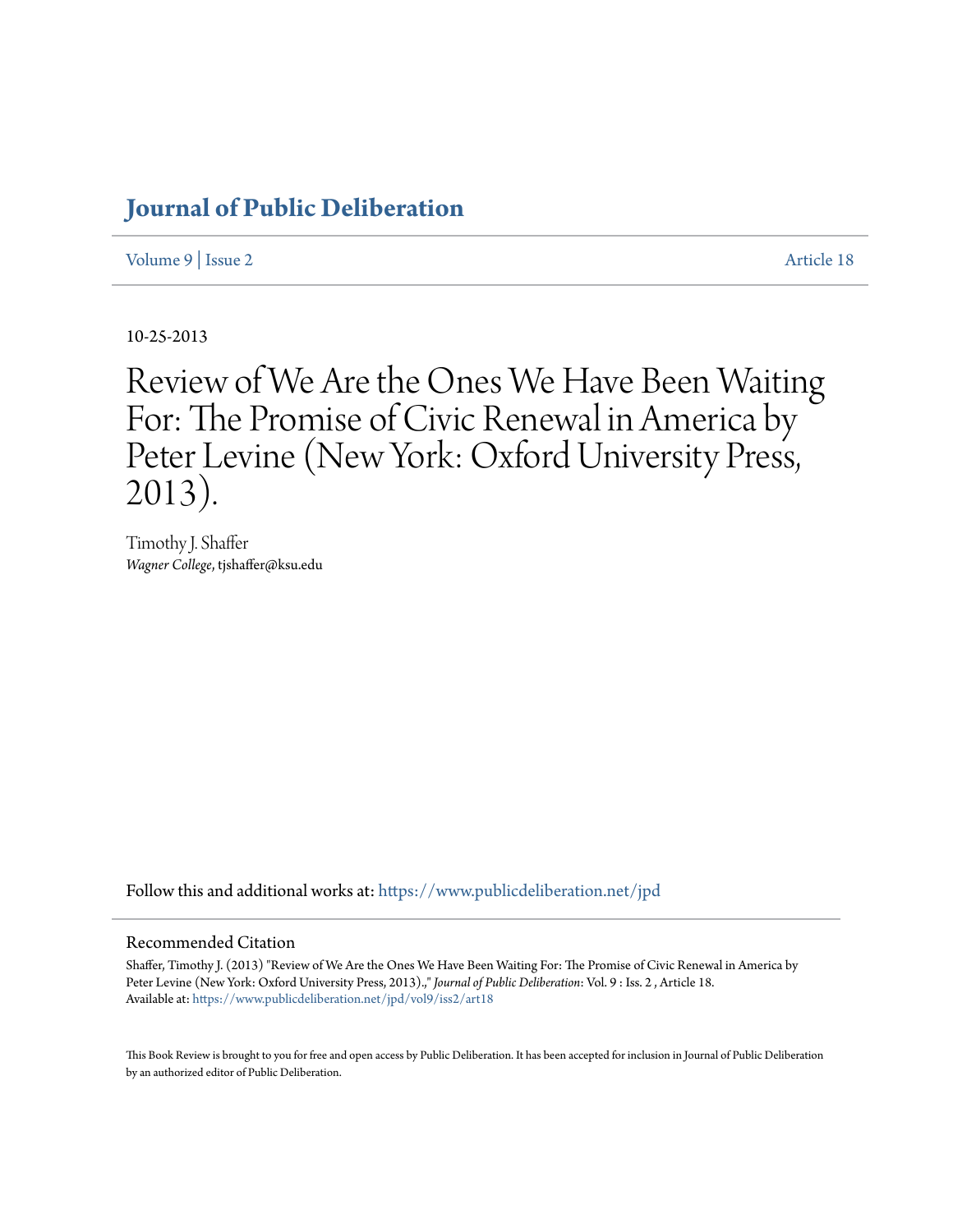## **[Journal of Public Deliberation](https://www.publicdeliberation.net/jpd?utm_source=www.publicdeliberation.net%2Fjpd%2Fvol9%2Fiss2%2Fart18&utm_medium=PDF&utm_campaign=PDFCoverPages)**

[Volume 9](https://www.publicdeliberation.net/jpd/vol9?utm_source=www.publicdeliberation.net%2Fjpd%2Fvol9%2Fiss2%2Fart18&utm_medium=PDF&utm_campaign=PDFCoverPages) | [Issue 2](https://www.publicdeliberation.net/jpd/vol9/iss2?utm_source=www.publicdeliberation.net%2Fjpd%2Fvol9%2Fiss2%2Fart18&utm_medium=PDF&utm_campaign=PDFCoverPages) [Article 18](https://www.publicdeliberation.net/jpd/vol9/iss2/art18?utm_source=www.publicdeliberation.net%2Fjpd%2Fvol9%2Fiss2%2Fart18&utm_medium=PDF&utm_campaign=PDFCoverPages)

10-25-2013

# Review of We Are the Ones We Have Been Waiting For: The Promise of Civic Renewal in America by Peter Levine (New York: Oxford University Press, 2013).

Timothy J. Shaffer *Wagner College*, tjshaffer@ksu.edu

Follow this and additional works at: [https://www.publicdeliberation.net/jpd](https://www.publicdeliberation.net/jpd?utm_source=www.publicdeliberation.net%2Fjpd%2Fvol9%2Fiss2%2Fart18&utm_medium=PDF&utm_campaign=PDFCoverPages)

#### Recommended Citation

Shaffer, Timothy J. (2013) "Review of We Are the Ones We Have Been Waiting For: The Promise of Civic Renewal in America by Peter Levine (New York: Oxford University Press, 2013).," *Journal of Public Deliberation*: Vol. 9 : Iss. 2 , Article 18. Available at: [https://www.publicdeliberation.net/jpd/vol9/iss2/art18](https://www.publicdeliberation.net/jpd/vol9/iss2/art18?utm_source=www.publicdeliberation.net%2Fjpd%2Fvol9%2Fiss2%2Fart18&utm_medium=PDF&utm_campaign=PDFCoverPages)

This Book Review is brought to you for free and open access by Public Deliberation. It has been accepted for inclusion in Journal of Public Deliberation by an authorized editor of Public Deliberation.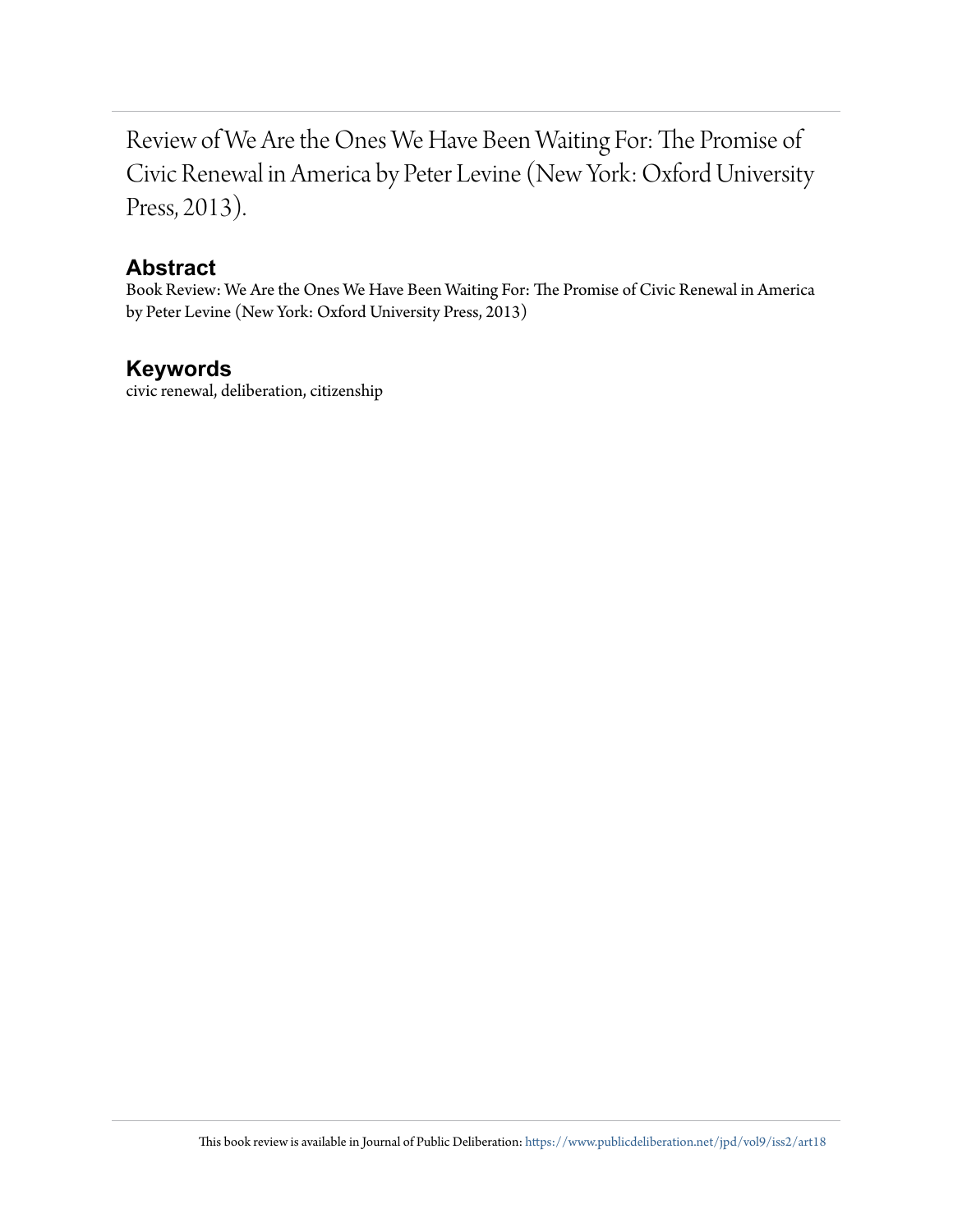Review of We Are the Ones We Have Been Waiting For: The Promise of Civic Renewal in America by Peter Levine (New York: Oxford University Press, 2013).

## **Abstract**

Book Review: We Are the Ones We Have Been Waiting For: The Promise of Civic Renewal in America by Peter Levine (New York: Oxford University Press, 2013)

## **Keywords**

civic renewal, deliberation, citizenship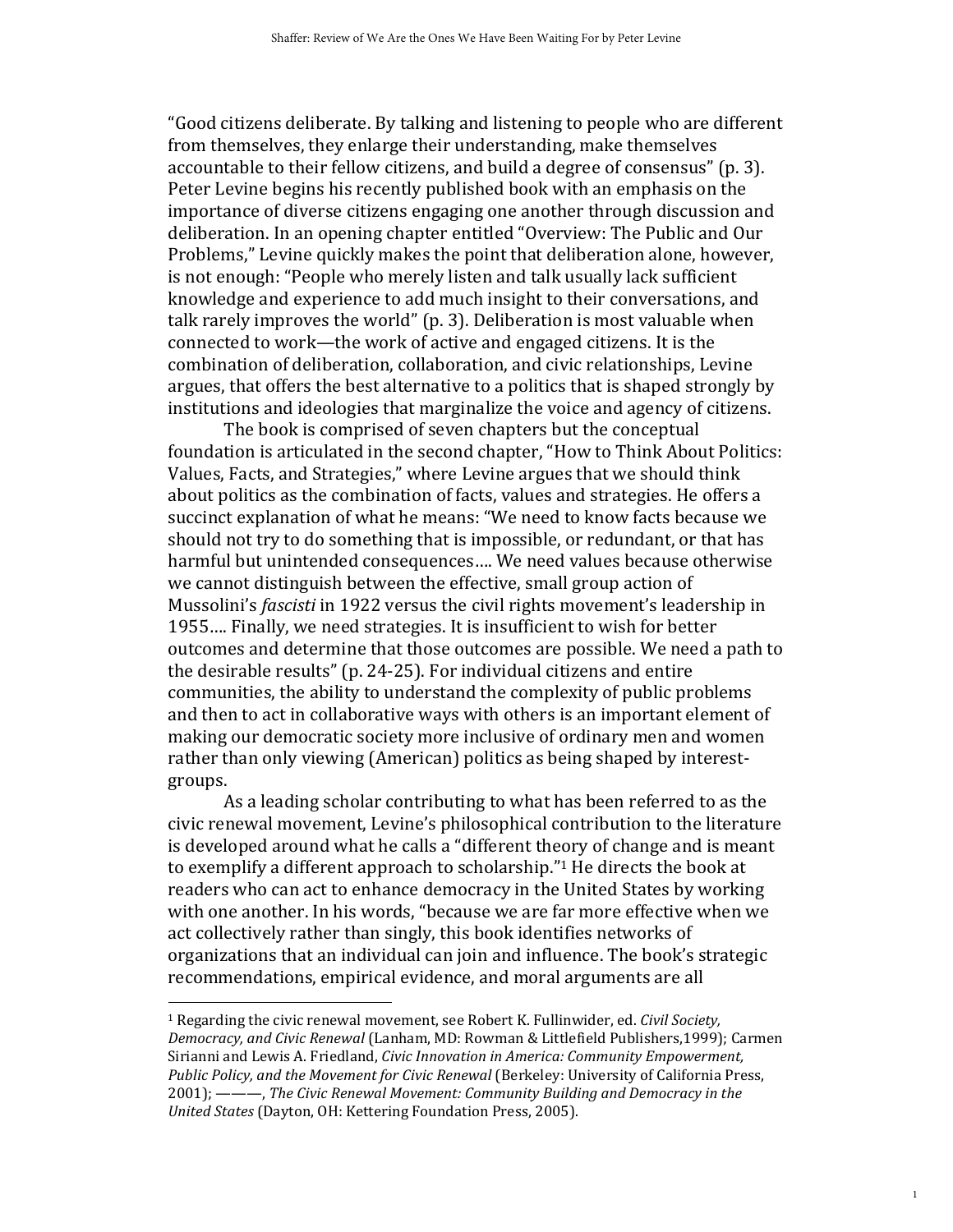"Good citizens deliberate. By talking and listening to people who are different from themselves, they enlarge their understanding, make themselves accountable to their fellow citizens, and build a degree of consensus" (p. 3). Peter Levine begins his recently published book with an emphasis on the importance of diverse citizens engaging one another through discussion and deliberation. In an opening chapter entitled "Overview: The Public and Our Problems," Levine quickly makes the point that deliberation alone, however, is not enough: "People who merely listen and talk usually lack sufficient knowledge and experience to add much insight to their conversations, and talk rarely improves the world" (p. 3). Deliberation is most valuable when connected to work—the work of active and engaged citizens. It is the combination of deliberation, collaboration, and civic relationships, Levine argues, that offers the best alternative to a politics that is shaped strongly by institutions and ideologies that marginalize the voice and agency of citizens.

The book is comprised of seven chapters but the conceptual foundation is articulated in the second chapter, "How to Think About Politics: Values, Facts, and Strategies," where Levine argues that we should think about politics as the combination of facts, values and strategies. He offers a succinct explanation of what he means: "We need to know facts because we should not try to do something that is impossible, or redundant, or that has harmful but unintended consequences…. We need values because otherwise we cannot distinguish between the effective, small group action of Mussolini's fascisti in 1922 versus the civil rights movement's leadership in 1955…. Finally, we need strategies. It is insufficient to wish for better outcomes and determine that those outcomes are possible. We need a path to the desirable results" (p. 24-25). For individual citizens and entire communities, the ability to understand the complexity of public problems and then to act in collaborative ways with others is an important element of making our democratic society more inclusive of ordinary men and women rather than only viewing (American) politics as being shaped by interestgroups.

As a leading scholar contributing to what has been referred to as the civic renewal movement, Levine's philosophical contribution to the literature is developed around what he calls a "different theory of change and is meant to exemplify a different approach to scholarship."1 He directs the book at readers who can act to enhance democracy in the United States by working with one another. In his words, "because we are far more effective when we act collectively rather than singly, this book identifies networks of organizations that an individual can join and influence. The book's strategic recommendations, empirical evidence, and moral arguments are all

<u>.</u>

<sup>&</sup>lt;sup>1</sup> Regarding the civic renewal movement, see Robert K. Fullinwider, ed. Civil Society, Democracy, and Civic Renewal (Lanham, MD: Rowman & Littlefield Publishers,1999); Carmen Sirianni and Lewis A. Friedland, Civic Innovation in America: Community Empowerment, Public Policy, and the Movement for Civic Renewal (Berkeley: University of California Press, 2001); ———, The Civic Renewal Movement: Community Building and Democracy in the United States (Dayton, OH: Kettering Foundation Press, 2005).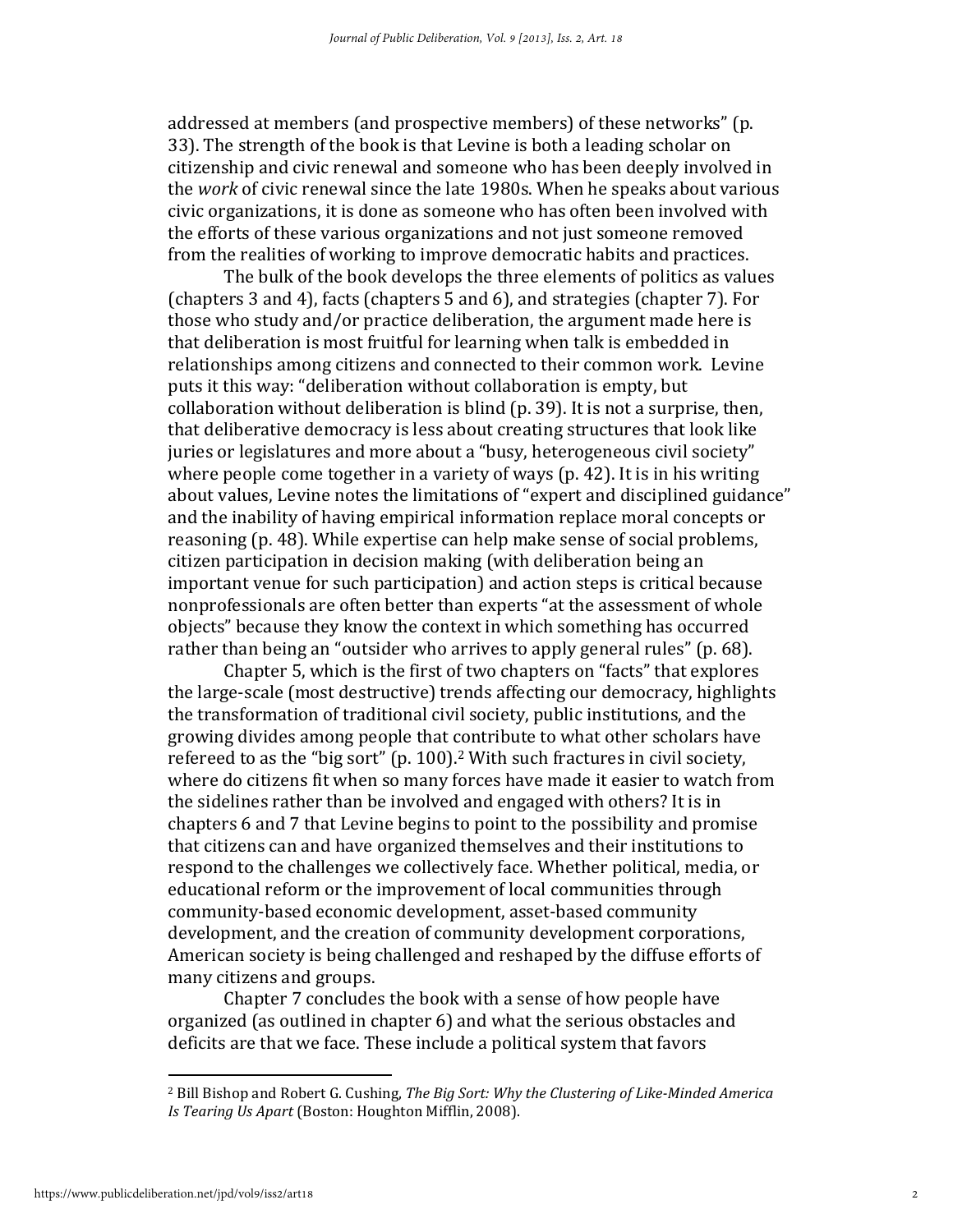addressed at members (and prospective members) of these networks" (p. 33). The strength of the book is that Levine is both a leading scholar on citizenship and civic renewal and someone who has been deeply involved in the work of civic renewal since the late 1980s. When he speaks about various civic organizations, it is done as someone who has often been involved with the efforts of these various organizations and not just someone removed from the realities of working to improve democratic habits and practices.

The bulk of the book develops the three elements of politics as values (chapters 3 and 4), facts (chapters 5 and 6), and strategies (chapter 7). For those who study and/or practice deliberation, the argument made here is that deliberation is most fruitful for learning when talk is embedded in relationships among citizens and connected to their common work. Levine puts it this way: "deliberation without collaboration is empty, but collaboration without deliberation is blind (p. 39). It is not a surprise, then, that deliberative democracy is less about creating structures that look like juries or legislatures and more about a "busy, heterogeneous civil society" where people come together in a variety of ways (p. 42). It is in his writing about values, Levine notes the limitations of "expert and disciplined guidance" and the inability of having empirical information replace moral concepts or reasoning (p. 48). While expertise can help make sense of social problems, citizen participation in decision making (with deliberation being an important venue for such participation) and action steps is critical because nonprofessionals are often better than experts "at the assessment of whole objects" because they know the context in which something has occurred rather than being an "outsider who arrives to apply general rules" (p. 68).

 Chapter 5, which is the first of two chapters on "facts" that explores the large-scale (most destructive) trends affecting our democracy, highlights the transformation of traditional civil society, public institutions, and the growing divides among people that contribute to what other scholars have refereed to as the "big sort" (p. 100).2 With such fractures in civil society, where do citizens fit when so many forces have made it easier to watch from the sidelines rather than be involved and engaged with others? It is in chapters 6 and 7 that Levine begins to point to the possibility and promise that citizens can and have organized themselves and their institutions to respond to the challenges we collectively face. Whether political, media, or educational reform or the improvement of local communities through community-based economic development, asset-based community development, and the creation of community development corporations, American society is being challenged and reshaped by the diffuse efforts of many citizens and groups.

 Chapter 7 concludes the book with a sense of how people have organized (as outlined in chapter 6) and what the serious obstacles and deficits are that we face. These include a political system that favors

<u>.</u>

<sup>&</sup>lt;sup>2</sup> Bill Bishop and Robert G. Cushing, The Big Sort: Why the Clustering of Like-Minded America Is Tearing Us Apart (Boston: Houghton Mifflin, 2008).